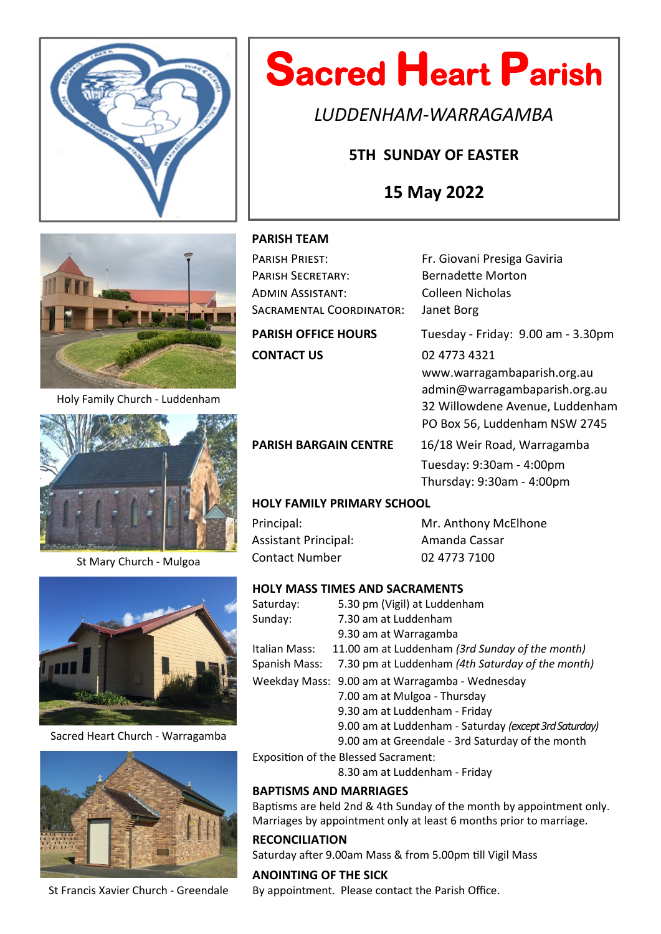

# **Sacred Heart Parish**

*LUDDENHAM-WARRAGAMBA*

# **5TH SUNDAY OF EASTER**

# **15 May 2022**



Holy Family Church - Luddenham

St Mary Church - Mulgoa



Sacred Heart Church - Warragamba



St Francis Xavier Church - Greendale

# **PARISH TEAM**

| PARISH PRIEST:             | Fr. Giovani Presiga Gaviria        |
|----------------------------|------------------------------------|
| <b>PARISH SECRETARY:</b>   | <b>Bernadette Morton</b>           |
| ADMIN ASSISTANT:           | Colleen Nicholas                   |
| SACRAMENTAL COORDINATOR:   | Janet Borg                         |
| <b>PARISH OFFICE HOURS</b> | Tuesday - Friday: 9.00 am - 3.30pm |
| <b>CONTACT US</b>          | 02 4773 4321                       |
|                            | www.warragambaparish.org.au        |
|                            | admin@warragambaparish.org.au      |
|                            | 32 Willowdene Avenue, Luddenham    |

PARISH BARGAIN CENTRE 16/18 Weir Road, Warragamba Tuesday: 9:30am - 4:00pm Thursday: 9:30am - 4:00pm

PO Box 56, Luddenham NSW 2745

# **HOLY FAMILY PRIMARY SCHOOL**

Assistant Principal: Amanda Cassar Contact Number 02 4773 7100

Principal: Mr. Anthony McElhone

## **HOLY MASS TIMES AND SACRAMENTS**

| Saturday:     | 5.30 pm (Vigil) at Luddenham                          |
|---------------|-------------------------------------------------------|
| Sunday:       | 7.30 am at Luddenham                                  |
|               | 9.30 am at Warragamba                                 |
| Italian Mass: | 11.00 am at Luddenham (3rd Sunday of the month)       |
| Spanish Mass: | 7.30 pm at Luddenham (4th Saturday of the month)      |
|               | Weekday Mass: 9.00 am at Warragamba - Wednesday       |
|               | 7.00 am at Mulgoa - Thursday                          |
|               | 9.30 am at Luddenham - Friday                         |
|               | 9.00 am at Luddenham - Saturday (except 3rd Saturday) |
|               | 9.00 am at Greendale - 3rd Saturday of the month      |

Exposition of the Blessed Sacrament:

8.30 am at Luddenham - Friday

## **BAPTISMS AND MARRIAGES**

Baptisms are held 2nd & 4th Sunday of the month by appointment only. Marriages by appointment only at least 6 months prior to marriage.

## **RECONCILIATION**

Saturday after 9.00am Mass & from 5.00pm till Vigil Mass

**ANOINTING OF THE SICK** By appointment. Please contact the Parish Office.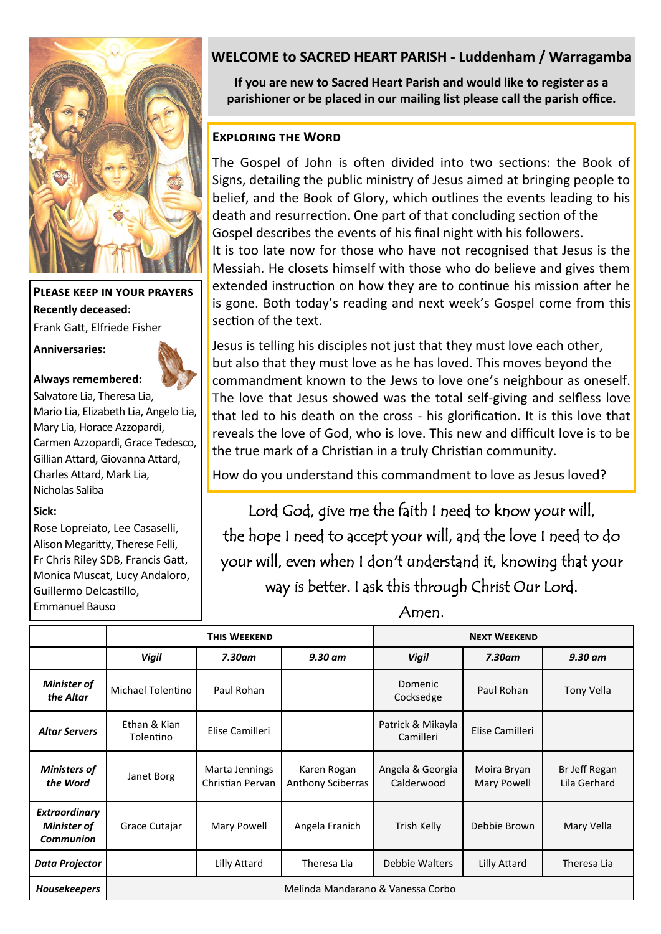

**Please keep in your prayers Recently deceased:** Frank Gatt, Elfriede Fisher

**Anniversaries:**



**Always remembered:** 

Salvatore Lia, Theresa Lia, Mario Lia, Elizabeth Lia, Angelo Lia, Mary Lia, Horace Azzopardi, Carmen Azzopardi, Grace Tedesco, Gillian Attard, Giovanna Attard, Charles Attard, Mark Lia, Nicholas Saliba

**Sick:**

Rose Lopreiato, Lee Casaselli, Alison Megaritty, Therese Felli, Fr Chris Riley SDB, Francis Gatt, Monica Muscat, Lucy Andaloro, Guillermo Delcastillo, Emmanuel Bauso

# **WELCOME to SACRED HEART PARISH - Luddenham / Warragamba**

**If you are new to Sacred Heart Parish and would like to register as a parishioner or be placed in our mailing list please call the parish office.**

# **Exploring the Word**

The Gospel of John is often divided into two sections: the Book of Signs, detailing the public ministry of Jesus aimed at bringing people to belief, and the Book of Glory, which outlines the events leading to his death and resurrection. One part of that concluding section of the Gospel describes the events of his final night with his followers. It is too late now for those who have not recognised that Jesus is the Messiah. He closets himself with those who do believe and gives them extended instruction on how they are to continue his mission after he is gone. Both today's reading and next week's Gospel come from this section of the text.

I HE TO U THAT SESSES SHOWED THIS THE TOTAL SETTING THIS SERVERS TO TO THAT ICH IS THAT ICH IS THAT ICH IS THAT I Jesus is telling his disciples not just that they must love each other, but also that they must love as he has loved. This moves beyond the commandment known to the Jews to love one's neighbour as oneself. The love that Jesus showed was the total self-giving and selfless love reveals the love of God, who is love. This new and difficult love is to be the true mark of a Christian in a truly Christian community.

How do you understand this commandment to love as Jesus loved?

Lord God, give me the faith I need to know your will, the hope I need to accept your will, and the love I need to do your will, even when I don't understand it, knowing that your way is better. I ask this through Christ Our Lord.

Amen.

|                                                                | <b>THIS WEEKEND</b>               |                                    |                                         | <b>NEXT WEEKEND</b>            |                            |                               |  |
|----------------------------------------------------------------|-----------------------------------|------------------------------------|-----------------------------------------|--------------------------------|----------------------------|-------------------------------|--|
|                                                                | <b>Vigil</b>                      | $7.30$ am                          | $9.30$ am                               | <b>Vigil</b>                   | $7.30$ am                  | $9.30$ am                     |  |
| Minister of<br>the Altar                                       | Michael Tolentino                 | Paul Rohan                         |                                         | <b>Domenic</b><br>Cocksedge    | Paul Rohan                 | Tony Vella                    |  |
| <b>Altar Servers</b>                                           | Ethan & Kian<br>Tolentino         | Elise Camilleri                    |                                         | Patrick & Mikayla<br>Camilleri | Elise Camilleri            |                               |  |
| Ministers of<br>the Word                                       | Janet Borg                        | Marta Jennings<br>Christian Pervan | Karen Rogan<br><b>Anthony Sciberras</b> | Angela & Georgia<br>Calderwood | Moira Bryan<br>Mary Powell | Br Jeff Regan<br>Lila Gerhard |  |
| <b>Extraordinary</b><br><b>Minister of</b><br><b>Communion</b> | Grace Cutajar                     | Mary Powell                        | Angela Franich                          | Trish Kelly                    | Debbie Brown               | Mary Vella                    |  |
| Data Projector                                                 |                                   | Lilly Attard                       | Theresa Lia                             | Debbie Walters                 | Lilly Attard               | Theresa Lia                   |  |
| <b>Housekeepers</b>                                            | Melinda Mandarano & Vanessa Corbo |                                    |                                         |                                |                            |                               |  |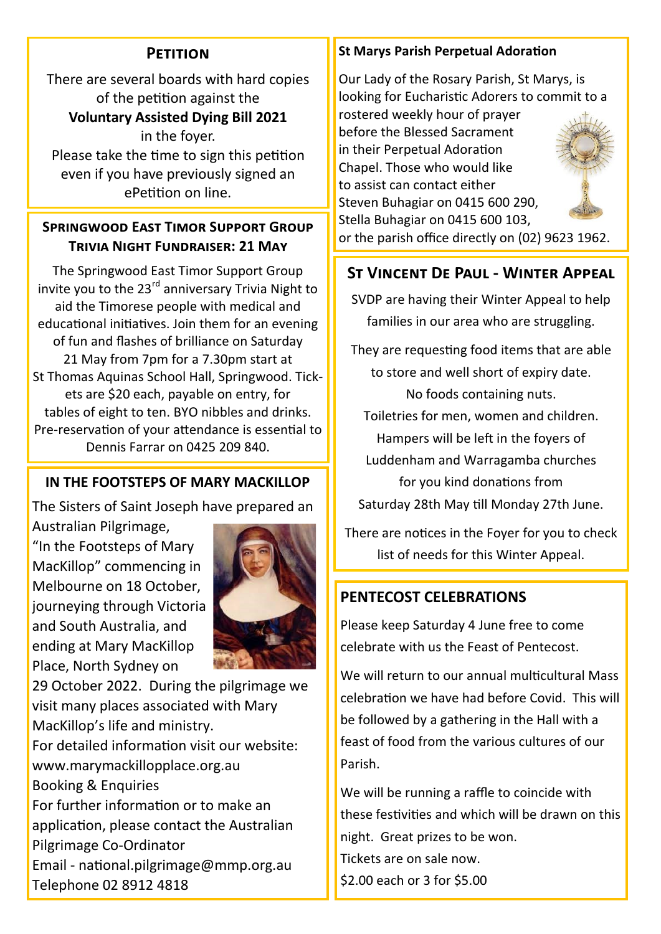# **Petition**

There are several boards with hard copies of the petition against the **Voluntary Assisted Dying Bill 2021**  in the foyer. Please take the time to sign this petition even if you have previously signed an ePetition on line.

# **Springwood East Timor Support Group Trivia Night Fundraiser: 21 May**

The Springwood East Timor Support Group invite you to the 23<sup>rd</sup> anniversary Trivia Night to aid the Timorese people with medical and educational initiatives. Join them for an evening of fun and flashes of brilliance on Saturday 21 May from 7pm for a 7.30pm start at St Thomas Aquinas School Hall, Springwood. Tickets are \$20 each, payable on entry, for tables of eight to ten. BYO nibbles and drinks. Pre-reservation of your attendance is essential to Dennis Farrar on 0425 209 840.

# **IN THE FOOTSTEPS OF MARY MACKILLOP**

The Sisters of Saint Joseph have prepared an Australian Pilgrimage,

"In the Footsteps of Mary MacKillop" commencing in Melbourne on 18 October, journeying through Victoria and South Australia, and ending at Mary MacKillop Place, North Sydney on



29 October 2022. During the pilgrimage we visit many places associated with Mary MacKillop's life and ministry. For detailed information visit our website: www.marymackillopplace.org.au Booking & Enquiries For further information or to make an application, please contact the Australian Pilgrimage Co-Ordinator

Email - national.pilgrimage@mmp.org.au Telephone 02 8912 4818

# **St Marys Parish Perpetual Adoration**

Our Lady of the Rosary Parish, St Marys, is looking for Eucharistic Adorers to commit to a rostered weekly hour of prayer before the Blessed Sacrament in their Perpetual Adoration

Chapel. Those who would like to assist can contact either Steven Buhagiar on 0415 600 290, Stella Buhagiar on 0415 600 103,



or the parish office directly on (02) 9623 1962.

# **St Vincent De Paul - Winter Appeal**

SVDP are having their Winter Appeal to help families in our area who are struggling.

They are requesting food items that are able to store and well short of expiry date. No foods containing nuts. Toiletries for men, women and children. Hampers will be left in the foyers of Luddenham and Warragamba churches

for you kind donations from

Saturday 28th May till Monday 27th June.

There are notices in the Foyer for you to check list of needs for this Winter Appeal.

# **PENTECOST CELEBRATIONS**

Please keep Saturday 4 June free to come celebrate with us the Feast of Pentecost.

We will return to our annual multicultural Mass celebration we have had before Covid. This will be followed by a gathering in the Hall with a feast of food from the various cultures of our Parish.

We will be running a raffle to coincide with these festivities and which will be drawn on this night. Great prizes to be won. Tickets are on sale now. \$2.00 each or 3 for \$5.00